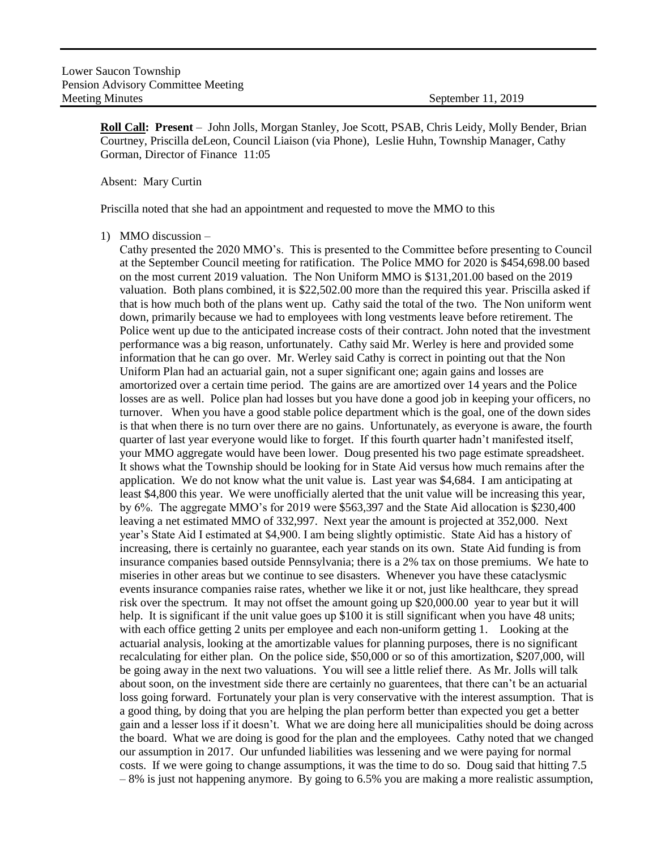**Roll Call: Present** – John Jolls, Morgan Stanley, Joe Scott, PSAB, Chris Leidy, Molly Bender, Brian Courtney, Priscilla deLeon, Council Liaison (via Phone), Leslie Huhn, Township Manager, Cathy Gorman, Director of Finance 11:05

## Absent: Mary Curtin

Priscilla noted that she had an appointment and requested to move the MMO to this

1) MMO discussion –

Cathy presented the 2020 MMO's. This is presented to the Committee before presenting to Council at the September Council meeting for ratification. The Police MMO for 2020 is \$454,698.00 based on the most current 2019 valuation. The Non Uniform MMO is \$131,201.00 based on the 2019 valuation. Both plans combined, it is \$22,502.00 more than the required this year. Priscilla asked if that is how much both of the plans went up. Cathy said the total of the two. The Non uniform went down, primarily because we had to employees with long vestments leave before retirement. The Police went up due to the anticipated increase costs of their contract. John noted that the investment performance was a big reason, unfortunately. Cathy said Mr. Werley is here and provided some information that he can go over. Mr. Werley said Cathy is correct in pointing out that the Non Uniform Plan had an actuarial gain, not a super significant one; again gains and losses are amortorized over a certain time period. The gains are are amortized over 14 years and the Police losses are as well. Police plan had losses but you have done a good job in keeping your officers, no turnover. When you have a good stable police department which is the goal, one of the down sides is that when there is no turn over there are no gains. Unfortunately, as everyone is aware, the fourth quarter of last year everyone would like to forget. If this fourth quarter hadn't manifested itself, your MMO aggregate would have been lower. Doug presented his two page estimate spreadsheet. It shows what the Township should be looking for in State Aid versus how much remains after the application. We do not know what the unit value is. Last year was \$4,684. I am anticipating at least \$4,800 this year. We were unofficially alerted that the unit value will be increasing this year, by 6%. The aggregate MMO's for 2019 were \$563,397 and the State Aid allocation is \$230,400 leaving a net estimated MMO of 332,997. Next year the amount is projected at 352,000. Next year's State Aid I estimated at \$4,900. I am being slightly optimistic. State Aid has a history of increasing, there is certainly no guarantee, each year stands on its own. State Aid funding is from insurance companies based outside Pennsylvania; there is a 2% tax on those premiums. We hate to miseries in other areas but we continue to see disasters. Whenever you have these cataclysmic events insurance companies raise rates, whether we like it or not, just like healthcare, they spread risk over the spectrum. It may not offset the amount going up \$20,000.00 year to year but it will help. It is significant if the unit value goes up \$100 it is still significant when you have 48 units; with each office getting 2 units per employee and each non-uniform getting 1. Looking at the actuarial analysis, looking at the amortizable values for planning purposes, there is no significant recalculating for either plan. On the police side, \$50,000 or so of this amortization, \$207,000, will be going away in the next two valuations. You will see a little relief there. As Mr. Jolls will talk about soon, on the investment side there are certainly no guarentees, that there can't be an actuarial loss going forward. Fortunately your plan is very conservative with the interest assumption. That is a good thing, by doing that you are helping the plan perform better than expected you get a better gain and a lesser loss if it doesn't. What we are doing here all municipalities should be doing across the board. What we are doing is good for the plan and the employees. Cathy noted that we changed our assumption in 2017. Our unfunded liabilities was lessening and we were paying for normal costs. If we were going to change assumptions, it was the time to do so. Doug said that hitting 7.5 – 8% is just not happening anymore. By going to 6.5% you are making a more realistic assumption,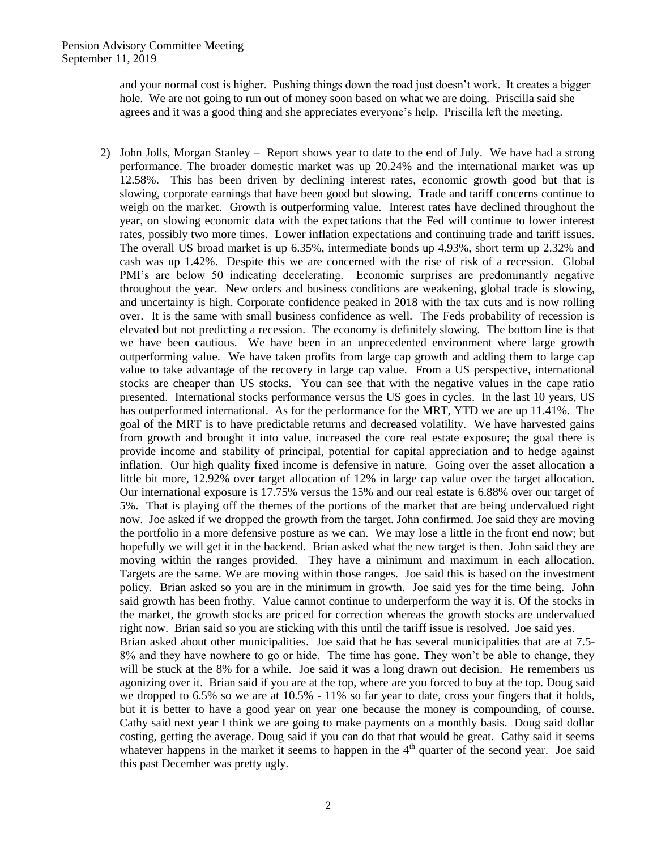and your normal cost is higher. Pushing things down the road just doesn't work. It creates a bigger hole. We are not going to run out of money soon based on what we are doing. Priscilla said she agrees and it was a good thing and she appreciates everyone's help. Priscilla left the meeting.

2) John Jolls, Morgan Stanley – Report shows year to date to the end of July. We have had a strong performance. The broader domestic market was up 20.24% and the international market was up 12.58%. This has been driven by declining interest rates, economic growth good but that is slowing, corporate earnings that have been good but slowing. Trade and tariff concerns continue to weigh on the market. Growth is outperforming value. Interest rates have declined throughout the year, on slowing economic data with the expectations that the Fed will continue to lower interest rates, possibly two more times. Lower inflation expectations and continuing trade and tariff issues. The overall US broad market is up 6.35%, intermediate bonds up 4.93%, short term up 2.32% and cash was up 1.42%. Despite this we are concerned with the rise of risk of a recession. Global PMI's are below 50 indicating decelerating. Economic surprises are predominantly negative throughout the year. New orders and business conditions are weakening, global trade is slowing, and uncertainty is high. Corporate confidence peaked in 2018 with the tax cuts and is now rolling over. It is the same with small business confidence as well. The Feds probability of recession is elevated but not predicting a recession. The economy is definitely slowing. The bottom line is that we have been cautious. We have been in an unprecedented environment where large growth outperforming value. We have taken profits from large cap growth and adding them to large cap value to take advantage of the recovery in large cap value. From a US perspective, international stocks are cheaper than US stocks. You can see that with the negative values in the cape ratio presented. International stocks performance versus the US goes in cycles. In the last 10 years, US has outperformed international. As for the performance for the MRT, YTD we are up 11.41%. The goal of the MRT is to have predictable returns and decreased volatility. We have harvested gains from growth and brought it into value, increased the core real estate exposure; the goal there is provide income and stability of principal, potential for capital appreciation and to hedge against inflation. Our high quality fixed income is defensive in nature. Going over the asset allocation a little bit more, 12.92% over target allocation of 12% in large cap value over the target allocation. Our international exposure is 17.75% versus the 15% and our real estate is 6.88% over our target of 5%. That is playing off the themes of the portions of the market that are being undervalued right now. Joe asked if we dropped the growth from the target. John confirmed. Joe said they are moving the portfolio in a more defensive posture as we can. We may lose a little in the front end now; but hopefully we will get it in the backend. Brian asked what the new target is then. John said they are moving within the ranges provided. They have a minimum and maximum in each allocation. Targets are the same. We are moving within those ranges. Joe said this is based on the investment policy. Brian asked so you are in the minimum in growth. Joe said yes for the time being. John said growth has been frothy. Value cannot continue to underperform the way it is. Of the stocks in the market, the growth stocks are priced for correction whereas the growth stocks are undervalued right now. Brian said so you are sticking with this until the tariff issue is resolved. Joe said yes. Brian asked about other municipalities. Joe said that he has several municipalities that are at 7.5- 8% and they have nowhere to go or hide. The time has gone. They won't be able to change, they will be stuck at the 8% for a while. Joe said it was a long drawn out decision. He remembers us agonizing over it. Brian said if you are at the top, where are you forced to buy at the top. Doug said we dropped to 6.5% so we are at 10.5% - 11% so far year to date, cross your fingers that it holds, but it is better to have a good year on year one because the money is compounding, of course. Cathy said next year I think we are going to make payments on a monthly basis. Doug said dollar costing, getting the average. Doug said if you can do that that would be great. Cathy said it seems whatever happens in the market it seems to happen in the  $4<sup>th</sup>$  quarter of the second year. Joe said this past December was pretty ugly.